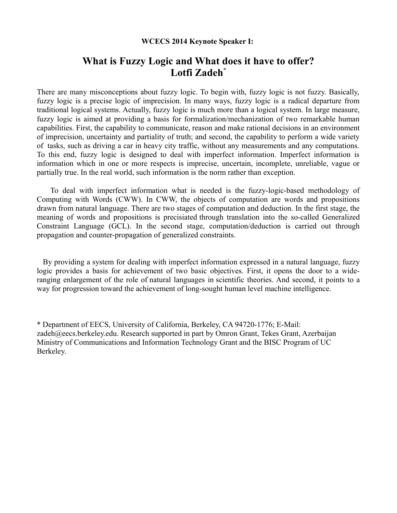## **WCECS 2014 Keynote Speaker I:**

## **What is Fuzzy Logic and What does it have to offer? Lotfi Zadeh\***

There are many misconceptions about fuzzy logic. To begin with, fuzzy logic is not fuzzy. Basically, fuzzy logic is a precise logic of imprecision. In many ways, fuzzy logic is a radical departure from traditional logical systems. Actually, fuzzy logic is much more than a logical system. In large measure, fuzzy logic is aimed at providing a basis for formalization/mechanization of two remarkable human capabilities. First, the capability to communicate, reason and make rational decisions in an environment of imprecision, uncertainty and partiality of truth; and second, the capability to perform a wide variety of tasks, such as driving a car in heavy city traffic, without any measurements and any computations. To this end, fuzzy logic is designed to deal with imperfect information. Imperfect information is information which in one or more respects is imprecise, uncertain, incomplete, unreliable, vague or partially true. In the real world, such information is the norm rather than exception.

 To deal with imperfect information what is needed is the fuzzy-logic-based methodology of Computing with Words (CWW). In CWW, the objects of computation are words and propositions drawn from natural language. There are two stages of computation and deduction. In the first stage, the meaning of words and propositions is precisiated through translation into the so-called Generalized Constraint Language (GCL). In the second stage, computation/deduction is carried out through propagation and counter-propagation of generalized constraints.

 By providing a system for dealing with imperfect information expressed in a natural language, fuzzy logic provides a basis for achievement of two basic objectives. First, it opens the door to a wideranging enlargement of the role of natural languages in scientific theories. And second, it points to a way for progression toward the achievement of long-sought human level machine intelligence.

\* Department of EECS, University of California, Berkeley, CA 94720-1776; E-Mail: zadeh@eecs.berkeley.edu. Research supported in part by Omron Grant, Tekes Grant, Azerbaijan Ministry of Communications and Information Technology Grant and the BISC Program of UC Berkeley.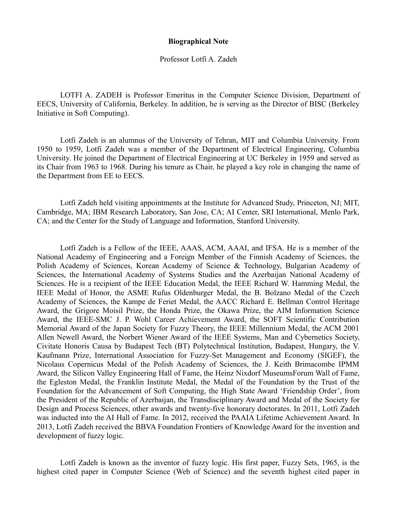## **Biographical Note**

## Professor Lotfi A. Zadeh

LOTFI A. ZADEH is Professor Emeritus in the Computer Science Division, Department of EECS, University of California, Berkeley. In addition, he is serving as the Director of BISC (Berkeley Initiative in Soft Computing).

Lotfi Zadeh is an alumnus of the University of Tehran, MIT and Columbia University. From 1950 to 1959, Lotfi Zadeh was a member of the Department of Electrical Engineering, Columbia University. He joined the Department of Electrical Engineering at UC Berkeley in 1959 and served as its Chair from 1963 to 1968. During his tenure as Chair, he played a key role in changing the name of the Department from EE to EECS.

Lotfi Zadeh held visiting appointments at the Institute for Advanced Study, Princeton, NJ; MIT, Cambridge, MA; IBM Research Laboratory, San Jose, CA; AI Center, SRI International, Menlo Park, CA; and the Center for the Study of Language and Information, Stanford University.

Lotfi Zadeh is a Fellow of the IEEE, AAAS, ACM, AAAI, and IFSA. He is a member of the National Academy of Engineering and a Foreign Member of the Finnish Academy of Sciences, the Polish Academy of Sciences, Korean Academy of Science & Technology, Bulgarian Academy of Sciences, the International Academy of Systems Studies and the Azerbaijan National Academy of Sciences. He is a recipient of the IEEE Education Medal, the IEEE Richard W. Hamming Medal, the IEEE Medal of Honor, the ASME Rufus Oldenburger Medal, the B. Bolzano Medal of the Czech Academy of Sciences, the Kampe de Feriet Medal, the AACC Richard E. Bellman Control Heritage Award, the Grigore Moisil Prize, the Honda Prize, the Okawa Prize, the AIM Information Science Award, the IEEE-SMC J. P. Wohl Career Achievement Award, the SOFT Scientific Contribution Memorial Award of the Japan Society for Fuzzy Theory, the IEEE Millennium Medal, the ACM 2001 Allen Newell Award, the Norbert Wiener Award of the IEEE Systems, Man and Cybernetics Society, Civitate Honoris Causa by Budapest Tech (BT) Polytechnical Institution, Budapest, Hungary, the V. Kaufmann Prize, International Association for Fuzzy-Set Management and Economy (SIGEF), the Nicolaus Copernicus Medal of the Polish Academy of Sciences, the J. Keith Brimacombe IPMM Award, the Silicon Valley Engineering Hall of Fame, the Heinz Nixdorf MuseumsForum Wall of Fame, the Egleston Medal, the Franklin Institute Medal, the Medal of the Foundation by the Trust of the Foundation for the Advancement of Soft Computing, the High State Award 'Friendship Order', from the President of the Republic of Azerbaijan, the Transdisciplinary Award and Medal of the Society for Design and Process Sciences, other awards and twenty-five honorary doctorates. In 2011, Lotfi Zadeh was inducted into the AI Hall of Fame. In 2012, received the PAAIA Lifetime Achievement Award. In 2013, Lotfi Zadeh received the BBVA Foundation Frontiers of Knowledge Award for the invention and development of fuzzy logic.

Lotfi Zadeh is known as the inventor of fuzzy logic. His first paper, Fuzzy Sets, 1965, is the highest cited paper in Computer Science (Web of Science) and the seventh highest cited paper in